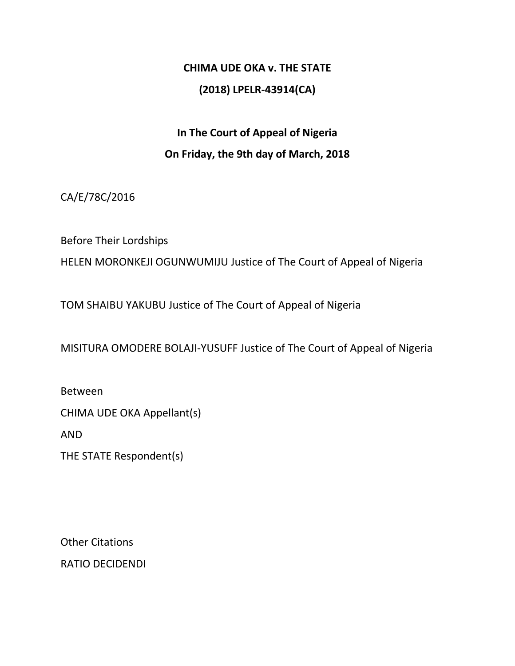# **CHIMA UDE OKA v. THE STATE (2018) LPELR-43914(CA)**

# **In The Court of Appeal of Nigeria On Friday, the 9th day of March, 2018**

CA/E/78C/2016

Before Their Lordships

HELEN MORONKEJI OGUNWUMIJU Justice of The Court of Appeal of Nigeria

TOM SHAIBU YAKUBU Justice of The Court of Appeal of Nigeria

MISITURA OMODERE BOLAJI-YUSUFF Justice of The Court of Appeal of Nigeria

Between

CHIMA UDE OKA Appellant(s)

AND

THE STATE Respondent(s)

Other Citations RATIO DECIDENDI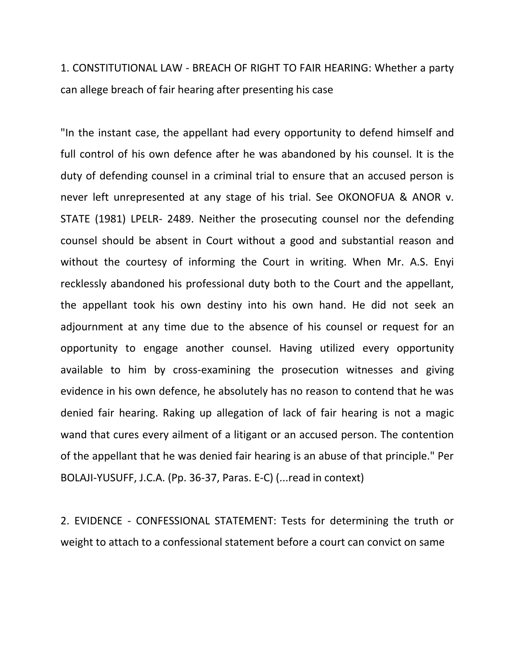1. CONSTITUTIONAL LAW - BREACH OF RIGHT TO FAIR HEARING: Whether a party can allege breach of fair hearing after presenting his case

"In the instant case, the appellant had every opportunity to defend himself and full control of his own defence after he was abandoned by his counsel. It is the duty of defending counsel in a criminal trial to ensure that an accused person is never left unrepresented at any stage of his trial. See OKONOFUA & ANOR v. STATE (1981) LPELR- 2489. Neither the prosecuting counsel nor the defending counsel should be absent in Court without a good and substantial reason and without the courtesy of informing the Court in writing. When Mr. A.S. Enyi recklessly abandoned his professional duty both to the Court and the appellant, the appellant took his own destiny into his own hand. He did not seek an adjournment at any time due to the absence of his counsel or request for an opportunity to engage another counsel. Having utilized every opportunity available to him by cross-examining the prosecution witnesses and giving evidence in his own defence, he absolutely has no reason to contend that he was denied fair hearing. Raking up allegation of lack of fair hearing is not a magic wand that cures every ailment of a litigant or an accused person. The contention of the appellant that he was denied fair hearing is an abuse of that principle." Per BOLAJI-YUSUFF, J.C.A. (Pp. 36-37, Paras. E-C) (...read in context)

2. EVIDENCE - CONFESSIONAL STATEMENT: Tests for determining the truth or weight to attach to a confessional statement before a court can convict on same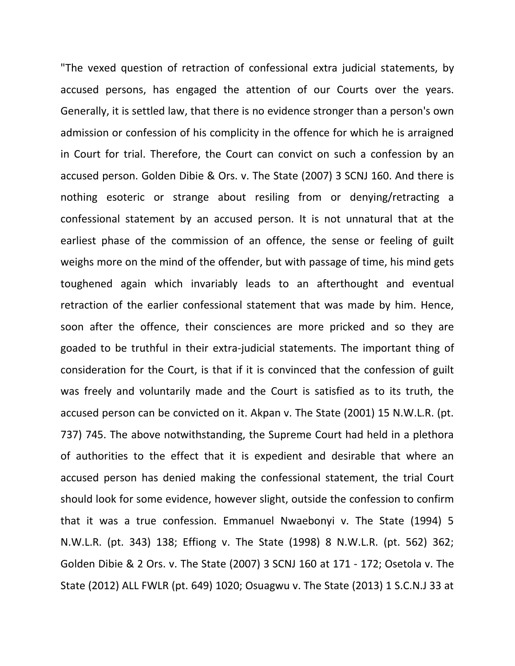"The vexed question of retraction of confessional extra judicial statements, by accused persons, has engaged the attention of our Courts over the years. Generally, it is settled law, that there is no evidence stronger than a person's own admission or confession of his complicity in the offence for which he is arraigned in Court for trial. Therefore, the Court can convict on such a confession by an accused person. Golden Dibie & Ors. v. The State (2007) 3 SCNJ 160. And there is nothing esoteric or strange about resiling from or denying/retracting a confessional statement by an accused person. It is not unnatural that at the earliest phase of the commission of an offence, the sense or feeling of guilt weighs more on the mind of the offender, but with passage of time, his mind gets toughened again which invariably leads to an afterthought and eventual retraction of the earlier confessional statement that was made by him. Hence, soon after the offence, their consciences are more pricked and so they are goaded to be truthful in their extra-judicial statements. The important thing of consideration for the Court, is that if it is convinced that the confession of guilt was freely and voluntarily made and the Court is satisfied as to its truth, the accused person can be convicted on it. Akpan v. The State (2001) 15 N.W.L.R. (pt. 737) 745. The above notwithstanding, the Supreme Court had held in a plethora of authorities to the effect that it is expedient and desirable that where an accused person has denied making the confessional statement, the trial Court should look for some evidence, however slight, outside the confession to confirm that it was a true confession. Emmanuel Nwaebonyi v. The State (1994) 5 N.W.L.R. (pt. 343) 138; Effiong v. The State (1998) 8 N.W.L.R. (pt. 562) 362; Golden Dibie & 2 Ors. v. The State (2007) 3 SCNJ 160 at 171 - 172; Osetola v. The State (2012) ALL FWLR (pt. 649) 1020; Osuagwu v. The State (2013) 1 S.C.N.J 33 at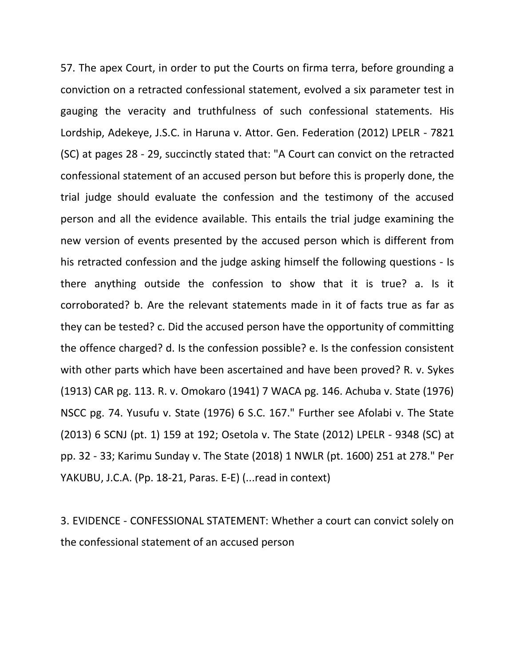57. The apex Court, in order to put the Courts on firma terra, before grounding a conviction on a retracted confessional statement, evolved a six parameter test in gauging the veracity and truthfulness of such confessional statements. His Lordship, Adekeye, J.S.C. in Haruna v. Attor. Gen. Federation (2012) LPELR - 7821 (SC) at pages 28 - 29, succinctly stated that: "A Court can convict on the retracted confessional statement of an accused person but before this is properly done, the trial judge should evaluate the confession and the testimony of the accused person and all the evidence available. This entails the trial judge examining the new version of events presented by the accused person which is different from his retracted confession and the judge asking himself the following questions - Is there anything outside the confession to show that it is true? a. Is it corroborated? b. Are the relevant statements made in it of facts true as far as they can be tested? c. Did the accused person have the opportunity of committing the offence charged? d. Is the confession possible? e. Is the confession consistent with other parts which have been ascertained and have been proved? R. v. Sykes (1913) CAR pg. 113. R. v. Omokaro (1941) 7 WACA pg. 146. Achuba v. State (1976) NSCC pg. 74. Yusufu v. State (1976) 6 S.C. 167." Further see Afolabi v. The State (2013) 6 SCNJ (pt. 1) 159 at 192; Osetola v. The State (2012) LPELR - 9348 (SC) at pp. 32 - 33; Karimu Sunday v. The State (2018) 1 NWLR (pt. 1600) 251 at 278." Per YAKUBU, J.C.A. (Pp. 18-21, Paras. E-E) (...read in context)

3. EVIDENCE - CONFESSIONAL STATEMENT: Whether a court can convict solely on the confessional statement of an accused person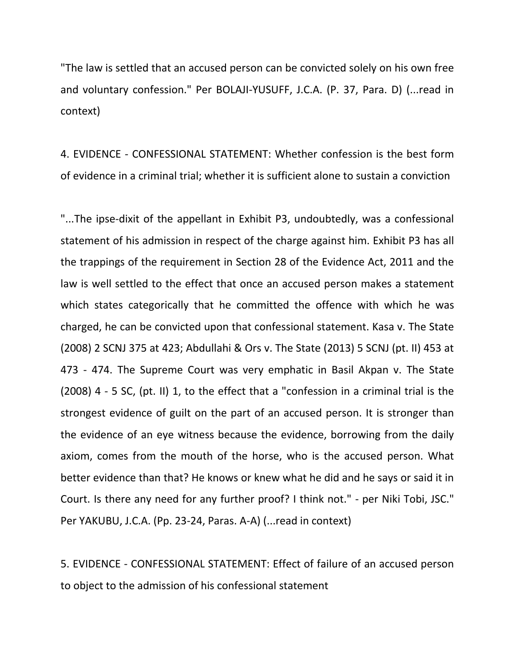"The law is settled that an accused person can be convicted solely on his own free and voluntary confession." Per BOLAJI-YUSUFF, J.C.A. (P. 37, Para. D) (...read in context)

4. EVIDENCE - CONFESSIONAL STATEMENT: Whether confession is the best form of evidence in a criminal trial; whether it is sufficient alone to sustain a conviction

"...The ipse-dixit of the appellant in Exhibit P3, undoubtedly, was a confessional statement of his admission in respect of the charge against him. Exhibit P3 has all the trappings of the requirement in Section 28 of the Evidence Act, 2011 and the law is well settled to the effect that once an accused person makes a statement which states categorically that he committed the offence with which he was charged, he can be convicted upon that confessional statement. Kasa v. The State (2008) 2 SCNJ 375 at 423; Abdullahi & Ors v. The State (2013) 5 SCNJ (pt. II) 453 at 473 - 474. The Supreme Court was very emphatic in Basil Akpan v. The State (2008) 4 - 5 SC, (pt. II) 1, to the effect that a "confession in a criminal trial is the strongest evidence of guilt on the part of an accused person. It is stronger than the evidence of an eye witness because the evidence, borrowing from the daily axiom, comes from the mouth of the horse, who is the accused person. What better evidence than that? He knows or knew what he did and he says or said it in Court. Is there any need for any further proof? I think not." - per Niki Tobi, JSC." Per YAKUBU, J.C.A. (Pp. 23-24, Paras. A-A) (...read in context)

5. EVIDENCE - CONFESSIONAL STATEMENT: Effect of failure of an accused person to object to the admission of his confessional statement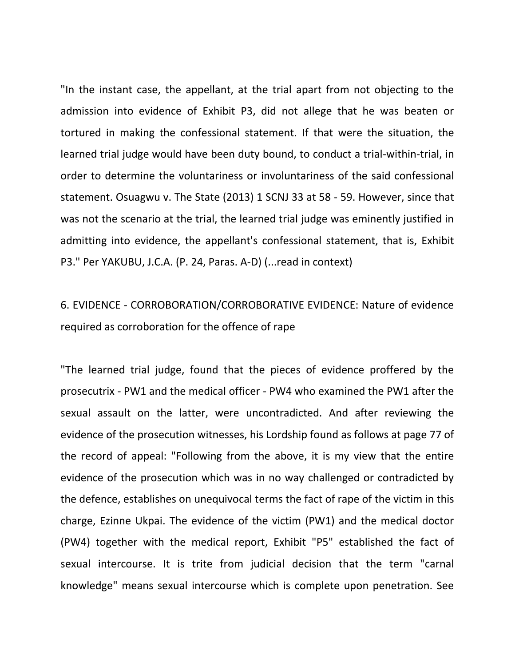"In the instant case, the appellant, at the trial apart from not objecting to the admission into evidence of Exhibit P3, did not allege that he was beaten or tortured in making the confessional statement. If that were the situation, the learned trial judge would have been duty bound, to conduct a trial-within-trial, in order to determine the voluntariness or involuntariness of the said confessional statement. Osuagwu v. The State (2013) 1 SCNJ 33 at 58 - 59. However, since that was not the scenario at the trial, the learned trial judge was eminently justified in admitting into evidence, the appellant's confessional statement, that is, Exhibit P3." Per YAKUBU, J.C.A. (P. 24, Paras. A-D) (...read in context)

6. EVIDENCE - CORROBORATION/CORROBORATIVE EVIDENCE: Nature of evidence required as corroboration for the offence of rape

"The learned trial judge, found that the pieces of evidence proffered by the prosecutrix - PW1 and the medical officer - PW4 who examined the PW1 after the sexual assault on the latter, were uncontradicted. And after reviewing the evidence of the prosecution witnesses, his Lordship found as follows at page 77 of the record of appeal: "Following from the above, it is my view that the entire evidence of the prosecution which was in no way challenged or contradicted by the defence, establishes on unequivocal terms the fact of rape of the victim in this charge, Ezinne Ukpai. The evidence of the victim (PW1) and the medical doctor (PW4) together with the medical report, Exhibit "P5" established the fact of sexual intercourse. It is trite from judicial decision that the term "carnal knowledge" means sexual intercourse which is complete upon penetration. See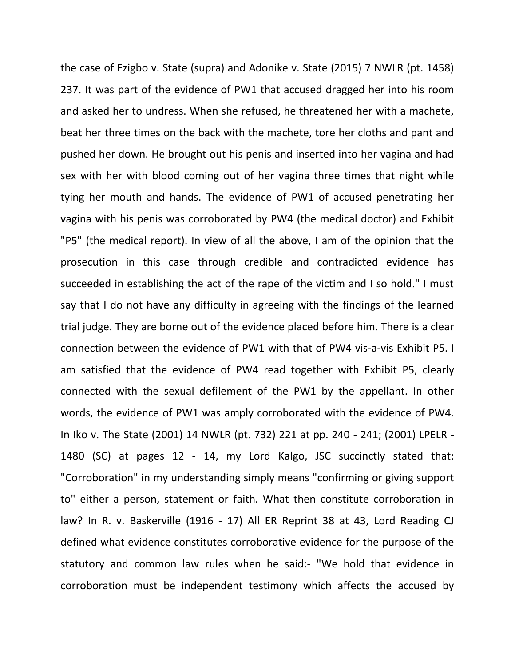the case of Ezigbo v. State (supra) and Adonike v. State (2015) 7 NWLR (pt. 1458) 237. It was part of the evidence of PW1 that accused dragged her into his room and asked her to undress. When she refused, he threatened her with a machete, beat her three times on the back with the machete, tore her cloths and pant and pushed her down. He brought out his penis and inserted into her vagina and had sex with her with blood coming out of her vagina three times that night while tying her mouth and hands. The evidence of PW1 of accused penetrating her vagina with his penis was corroborated by PW4 (the medical doctor) and Exhibit "P5" (the medical report). In view of all the above, I am of the opinion that the prosecution in this case through credible and contradicted evidence has succeeded in establishing the act of the rape of the victim and I so hold." I must say that I do not have any difficulty in agreeing with the findings of the learned trial judge. They are borne out of the evidence placed before him. There is a clear connection between the evidence of PW1 with that of PW4 vis-a-vis Exhibit P5. I am satisfied that the evidence of PW4 read together with Exhibit P5, clearly connected with the sexual defilement of the PW1 by the appellant. In other words, the evidence of PW1 was amply corroborated with the evidence of PW4. In Iko v. The State (2001) 14 NWLR (pt. 732) 221 at pp. 240 - 241; (2001) LPELR - 1480 (SC) at pages 12 - 14, my Lord Kalgo, JSC succinctly stated that: "Corroboration" in my understanding simply means "confirming or giving support to" either a person, statement or faith. What then constitute corroboration in law? In R. v. Baskerville (1916 - 17) All ER Reprint 38 at 43, Lord Reading CJ defined what evidence constitutes corroborative evidence for the purpose of the statutory and common law rules when he said:- "We hold that evidence in corroboration must be independent testimony which affects the accused by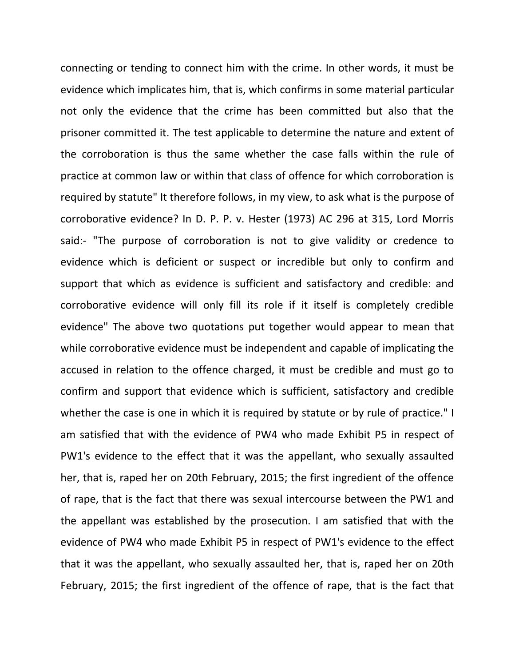connecting or tending to connect him with the crime. In other words, it must be evidence which implicates him, that is, which confirms in some material particular not only the evidence that the crime has been committed but also that the prisoner committed it. The test applicable to determine the nature and extent of the corroboration is thus the same whether the case falls within the rule of practice at common law or within that class of offence for which corroboration is required by statute" It therefore follows, in my view, to ask what is the purpose of corroborative evidence? In D. P. P. v. Hester (1973) AC 296 at 315, Lord Morris said:- "The purpose of corroboration is not to give validity or credence to evidence which is deficient or suspect or incredible but only to confirm and support that which as evidence is sufficient and satisfactory and credible: and corroborative evidence will only fill its role if it itself is completely credible evidence" The above two quotations put together would appear to mean that while corroborative evidence must be independent and capable of implicating the accused in relation to the offence charged, it must be credible and must go to confirm and support that evidence which is sufficient, satisfactory and credible whether the case is one in which it is required by statute or by rule of practice." I am satisfied that with the evidence of PW4 who made Exhibit P5 in respect of PW1's evidence to the effect that it was the appellant, who sexually assaulted her, that is, raped her on 20th February, 2015; the first ingredient of the offence of rape, that is the fact that there was sexual intercourse between the PW1 and the appellant was established by the prosecution. I am satisfied that with the evidence of PW4 who made Exhibit P5 in respect of PW1's evidence to the effect that it was the appellant, who sexually assaulted her, that is, raped her on 20th February, 2015; the first ingredient of the offence of rape, that is the fact that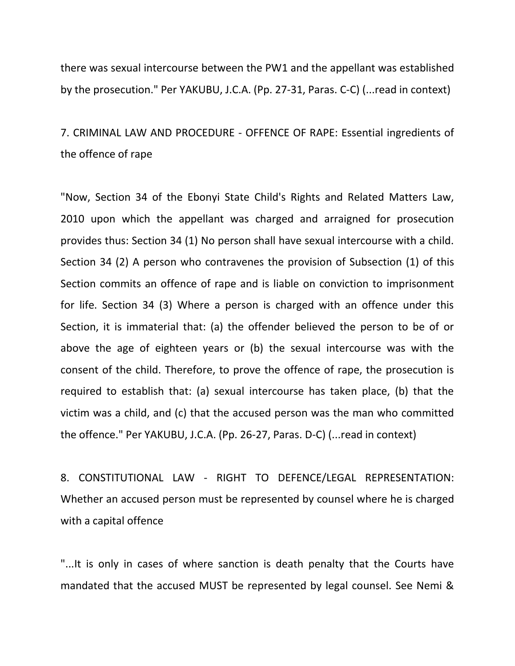there was sexual intercourse between the PW1 and the appellant was established by the prosecution." Per YAKUBU, J.C.A. (Pp. 27-31, Paras. C-C) (...read in context)

7. CRIMINAL LAW AND PROCEDURE - OFFENCE OF RAPE: Essential ingredients of the offence of rape

"Now, Section 34 of the Ebonyi State Child's Rights and Related Matters Law, 2010 upon which the appellant was charged and arraigned for prosecution provides thus: Section 34 (1) No person shall have sexual intercourse with a child. Section 34 (2) A person who contravenes the provision of Subsection (1) of this Section commits an offence of rape and is liable on conviction to imprisonment for life. Section 34 (3) Where a person is charged with an offence under this Section, it is immaterial that: (a) the offender believed the person to be of or above the age of eighteen years or (b) the sexual intercourse was with the consent of the child. Therefore, to prove the offence of rape, the prosecution is required to establish that: (a) sexual intercourse has taken place, (b) that the victim was a child, and (c) that the accused person was the man who committed the offence." Per YAKUBU, J.C.A. (Pp. 26-27, Paras. D-C) (...read in context)

8. CONSTITUTIONAL LAW - RIGHT TO DEFENCE/LEGAL REPRESENTATION: Whether an accused person must be represented by counsel where he is charged with a capital offence

"...It is only in cases of where sanction is death penalty that the Courts have mandated that the accused MUST be represented by legal counsel. See Nemi &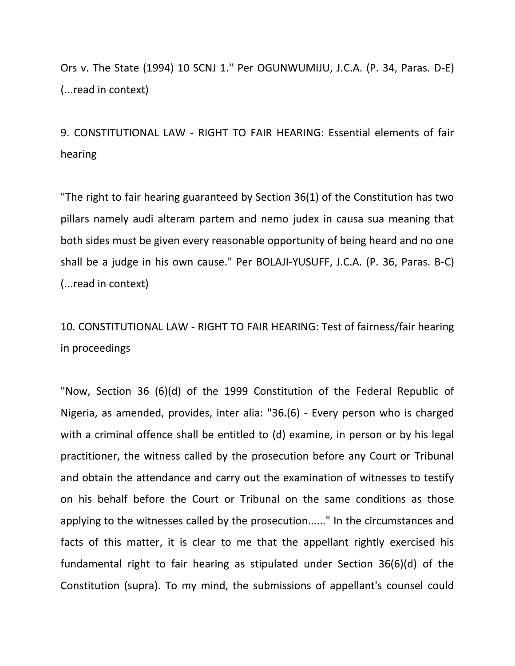Ors v. The State (1994) 10 SCNJ 1." Per OGUNWUMIJU, J.C.A. (P. 34, Paras. D-E) (...read in context)

9. CONSTITUTIONAL LAW - RIGHT TO FAIR HEARING: Essential elements of fair hearing

"The right to fair hearing guaranteed by Section 36(1) of the Constitution has two pillars namely audi alteram partem and nemo judex in causa sua meaning that both sides must be given every reasonable opportunity of being heard and no one shall be a judge in his own cause." Per BOLAJI-YUSUFF, J.C.A. (P. 36, Paras. B-C) (...read in context)

10. CONSTITUTIONAL LAW - RIGHT TO FAIR HEARING: Test of fairness/fair hearing in proceedings

"Now, Section 36 (6)(d) of the 1999 Constitution of the Federal Republic of Nigeria, as amended, provides, inter alia: "36.(6) - Every person who is charged with a criminal offence shall be entitled to (d) examine, in person or by his legal practitioner, the witness called by the prosecution before any Court or Tribunal and obtain the attendance and carry out the examination of witnesses to testify on his behalf before the Court or Tribunal on the same conditions as those applying to the witnesses called by the prosecution......" In the circumstances and facts of this matter, it is clear to me that the appellant rightly exercised his fundamental right to fair hearing as stipulated under Section 36(6)(d) of the Constitution (supra). To my mind, the submissions of appellant's counsel could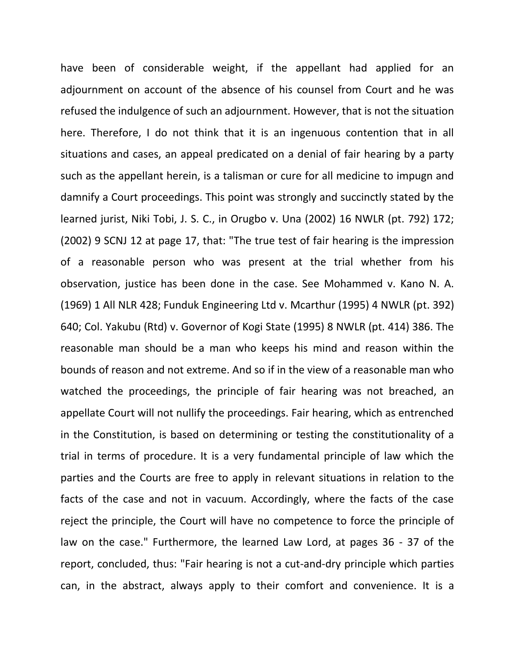have been of considerable weight, if the appellant had applied for an adjournment on account of the absence of his counsel from Court and he was refused the indulgence of such an adjournment. However, that is not the situation here. Therefore, I do not think that it is an ingenuous contention that in all situations and cases, an appeal predicated on a denial of fair hearing by a party such as the appellant herein, is a talisman or cure for all medicine to impugn and damnify a Court proceedings. This point was strongly and succinctly stated by the learned jurist, Niki Tobi, J. S. C., in Orugbo v. Una (2002) 16 NWLR (pt. 792) 172; (2002) 9 SCNJ 12 at page 17, that: "The true test of fair hearing is the impression of a reasonable person who was present at the trial whether from his observation, justice has been done in the case. See Mohammed v. Kano N. A. (1969) 1 All NLR 428; Funduk Engineering Ltd v. Mcarthur (1995) 4 NWLR (pt. 392) 640; Col. Yakubu (Rtd) v. Governor of Kogi State (1995) 8 NWLR (pt. 414) 386. The reasonable man should be a man who keeps his mind and reason within the bounds of reason and not extreme. And so if in the view of a reasonable man who watched the proceedings, the principle of fair hearing was not breached, an appellate Court will not nullify the proceedings. Fair hearing, which as entrenched in the Constitution, is based on determining or testing the constitutionality of a trial in terms of procedure. It is a very fundamental principle of law which the parties and the Courts are free to apply in relevant situations in relation to the facts of the case and not in vacuum. Accordingly, where the facts of the case reject the principle, the Court will have no competence to force the principle of law on the case." Furthermore, the learned Law Lord, at pages 36 - 37 of the report, concluded, thus: "Fair hearing is not a cut-and-dry principle which parties can, in the abstract, always apply to their comfort and convenience. It is a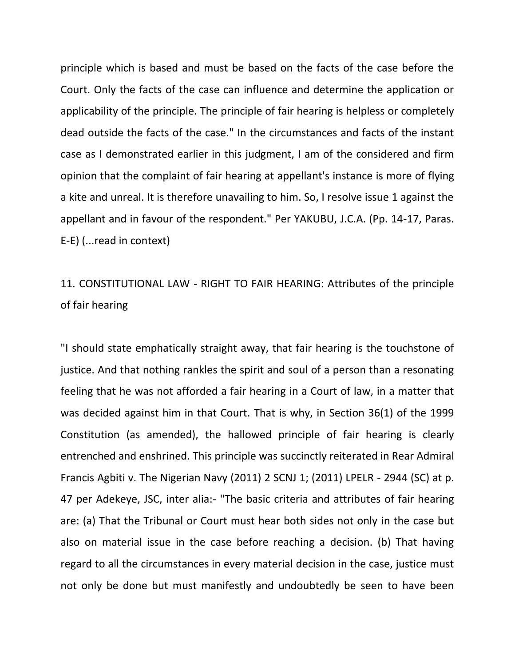principle which is based and must be based on the facts of the case before the Court. Only the facts of the case can influence and determine the application or applicability of the principle. The principle of fair hearing is helpless or completely dead outside the facts of the case." In the circumstances and facts of the instant case as I demonstrated earlier in this judgment, I am of the considered and firm opinion that the complaint of fair hearing at appellant's instance is more of flying a kite and unreal. It is therefore unavailing to him. So, I resolve issue 1 against the appellant and in favour of the respondent." Per YAKUBU, J.C.A. (Pp. 14-17, Paras. E-E) (...read in context)

# 11. CONSTITUTIONAL LAW - RIGHT TO FAIR HEARING: Attributes of the principle of fair hearing

"I should state emphatically straight away, that fair hearing is the touchstone of justice. And that nothing rankles the spirit and soul of a person than a resonating feeling that he was not afforded a fair hearing in a Court of law, in a matter that was decided against him in that Court. That is why, in Section 36(1) of the 1999 Constitution (as amended), the hallowed principle of fair hearing is clearly entrenched and enshrined. This principle was succinctly reiterated in Rear Admiral Francis Agbiti v. The Nigerian Navy (2011) 2 SCNJ 1; (2011) LPELR - 2944 (SC) at p. 47 per Adekeye, JSC, inter alia:- "The basic criteria and attributes of fair hearing are: (a) That the Tribunal or Court must hear both sides not only in the case but also on material issue in the case before reaching a decision. (b) That having regard to all the circumstances in every material decision in the case, justice must not only be done but must manifestly and undoubtedly be seen to have been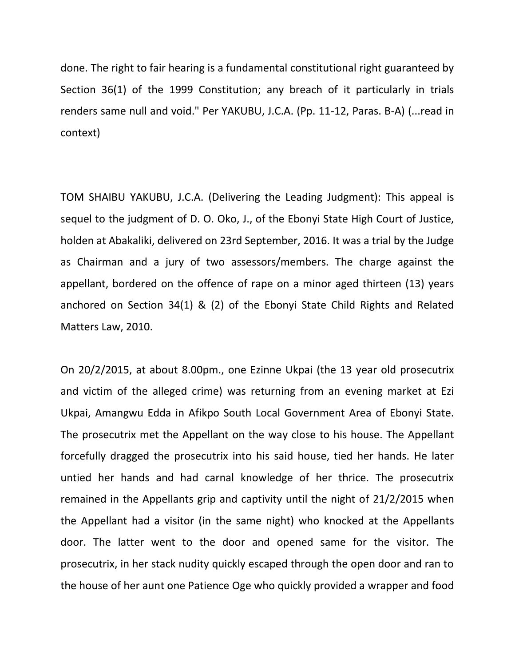done. The right to fair hearing is a fundamental constitutional right guaranteed by Section 36(1) of the 1999 Constitution; any breach of it particularly in trials renders same null and void." Per YAKUBU, J.C.A. (Pp. 11-12, Paras. B-A) (...read in context)

TOM SHAIBU YAKUBU, J.C.A. (Delivering the Leading Judgment): This appeal is sequel to the judgment of D. O. Oko, J., of the Ebonyi State High Court of Justice, holden at Abakaliki, delivered on 23rd September, 2016. It was a trial by the Judge as Chairman and a jury of two assessors/members. The charge against the appellant, bordered on the offence of rape on a minor aged thirteen (13) years anchored on Section 34(1) & (2) of the Ebonyi State Child Rights and Related Matters Law, 2010.

On 20/2/2015, at about 8.00pm., one Ezinne Ukpai (the 13 year old prosecutrix and victim of the alleged crime) was returning from an evening market at Ezi Ukpai, Amangwu Edda in Afikpo South Local Government Area of Ebonyi State. The prosecutrix met the Appellant on the way close to his house. The Appellant forcefully dragged the prosecutrix into his said house, tied her hands. He later untied her hands and had carnal knowledge of her thrice. The prosecutrix remained in the Appellants grip and captivity until the night of 21/2/2015 when the Appellant had a visitor (in the same night) who knocked at the Appellants door. The latter went to the door and opened same for the visitor. The prosecutrix, in her stack nudity quickly escaped through the open door and ran to the house of her aunt one Patience Oge who quickly provided a wrapper and food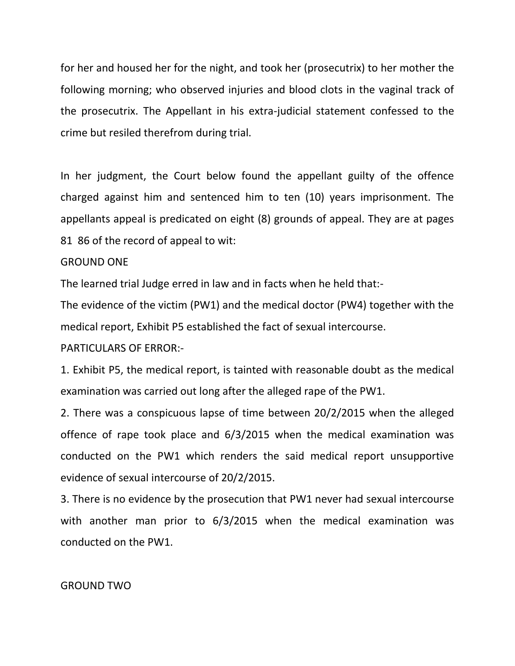for her and housed her for the night, and took her (prosecutrix) to her mother the following morning; who observed injuries and blood clots in the vaginal track of the prosecutrix. The Appellant in his extra-judicial statement confessed to the crime but resiled therefrom during trial.

In her judgment, the Court below found the appellant guilty of the offence charged against him and sentenced him to ten (10) years imprisonment. The appellants appeal is predicated on eight (8) grounds of appeal. They are at pages 81 86 of the record of appeal to wit:

### GROUND ONE

The learned trial Judge erred in law and in facts when he held that:-

The evidence of the victim (PW1) and the medical doctor (PW4) together with the medical report, Exhibit P5 established the fact of sexual intercourse.

#### PARTICULARS OF ERROR:-

1. Exhibit P5, the medical report, is tainted with reasonable doubt as the medical examination was carried out long after the alleged rape of the PW1.

2. There was a conspicuous lapse of time between 20/2/2015 when the alleged offence of rape took place and 6/3/2015 when the medical examination was conducted on the PW1 which renders the said medical report unsupportive evidence of sexual intercourse of 20/2/2015.

3. There is no evidence by the prosecution that PW1 never had sexual intercourse with another man prior to 6/3/2015 when the medical examination was conducted on the PW1.

#### GROUND TWO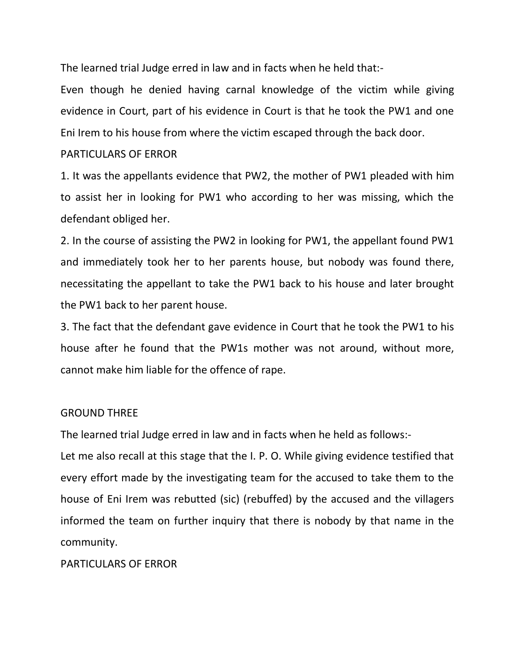The learned trial Judge erred in law and in facts when he held that:-

Even though he denied having carnal knowledge of the victim while giving evidence in Court, part of his evidence in Court is that he took the PW1 and one Eni Irem to his house from where the victim escaped through the back door.

### PARTICULARS OF FRROR

1. It was the appellants evidence that PW2, the mother of PW1 pleaded with him to assist her in looking for PW1 who according to her was missing, which the defendant obliged her.

2. In the course of assisting the PW2 in looking for PW1, the appellant found PW1 and immediately took her to her parents house, but nobody was found there, necessitating the appellant to take the PW1 back to his house and later brought the PW1 back to her parent house.

3. The fact that the defendant gave evidence in Court that he took the PW1 to his house after he found that the PW1s mother was not around, without more, cannot make him liable for the offence of rape.

# GROUND THREE

The learned trial Judge erred in law and in facts when he held as follows:-

Let me also recall at this stage that the I. P. O. While giving evidence testified that every effort made by the investigating team for the accused to take them to the house of Eni Irem was rebutted (sic) (rebuffed) by the accused and the villagers informed the team on further inquiry that there is nobody by that name in the community.

# PARTICULARS OF ERROR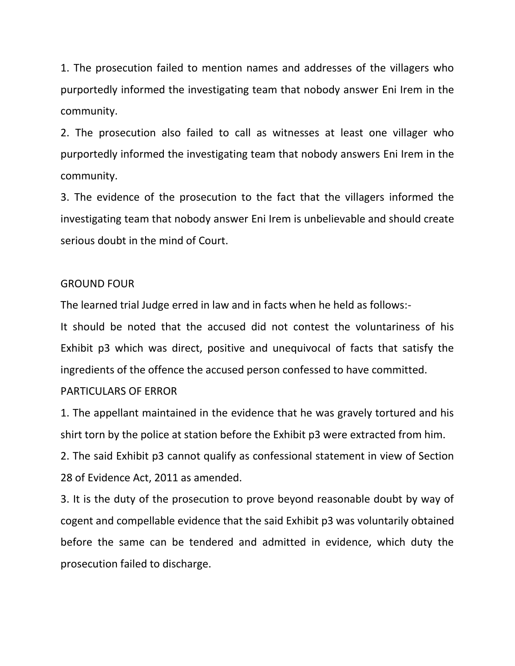1. The prosecution failed to mention names and addresses of the villagers who purportedly informed the investigating team that nobody answer Eni Irem in the community.

2. The prosecution also failed to call as witnesses at least one villager who purportedly informed the investigating team that nobody answers Eni Irem in the community.

3. The evidence of the prosecution to the fact that the villagers informed the investigating team that nobody answer Eni Irem is unbelievable and should create serious doubt in the mind of Court.

#### GROUND FOUR

The learned trial Judge erred in law and in facts when he held as follows:-

It should be noted that the accused did not contest the voluntariness of his Exhibit p3 which was direct, positive and unequivocal of facts that satisfy the ingredients of the offence the accused person confessed to have committed.

#### PARTICULARS OF FRROR

1. The appellant maintained in the evidence that he was gravely tortured and his shirt torn by the police at station before the Exhibit p3 were extracted from him.

2. The said Exhibit p3 cannot qualify as confessional statement in view of Section 28 of Evidence Act, 2011 as amended.

3. It is the duty of the prosecution to prove beyond reasonable doubt by way of cogent and compellable evidence that the said Exhibit p3 was voluntarily obtained before the same can be tendered and admitted in evidence, which duty the prosecution failed to discharge.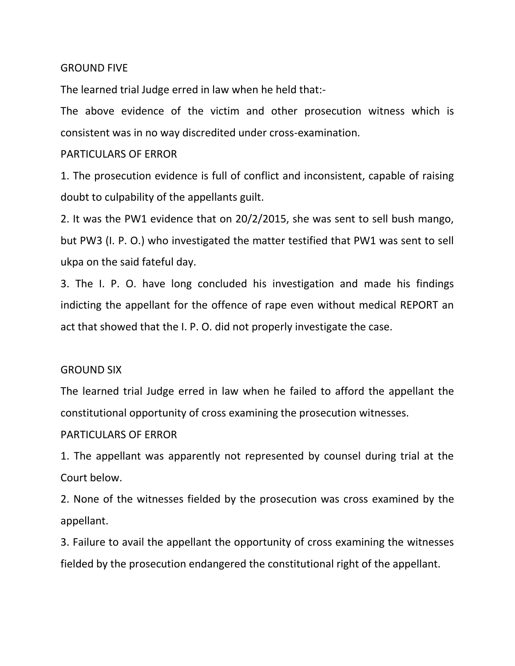### GROUND FIVE

The learned trial Judge erred in law when he held that:-

The above evidence of the victim and other prosecution witness which is consistent was in no way discredited under cross-examination.

#### PARTICULARS OF FRROR

1. The prosecution evidence is full of conflict and inconsistent, capable of raising doubt to culpability of the appellants guilt.

2. It was the PW1 evidence that on 20/2/2015, she was sent to sell bush mango, but PW3 (I. P. O.) who investigated the matter testified that PW1 was sent to sell ukpa on the said fateful day.

3. The I. P. O. have long concluded his investigation and made his findings indicting the appellant for the offence of rape even without medical REPORT an act that showed that the I. P. O. did not properly investigate the case.

#### GROUND SIX

The learned trial Judge erred in law when he failed to afford the appellant the constitutional opportunity of cross examining the prosecution witnesses.

#### PARTICULARS OF ERROR

1. The appellant was apparently not represented by counsel during trial at the Court below.

2. None of the witnesses fielded by the prosecution was cross examined by the appellant.

3. Failure to avail the appellant the opportunity of cross examining the witnesses fielded by the prosecution endangered the constitutional right of the appellant.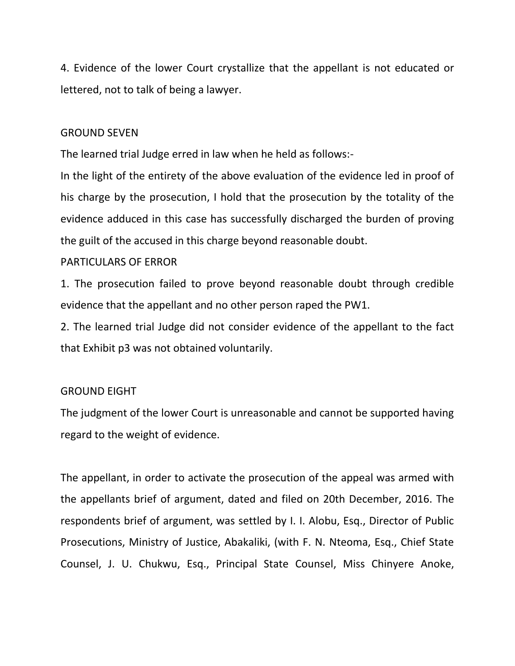4. Evidence of the lower Court crystallize that the appellant is not educated or lettered, not to talk of being a lawyer.

#### GROUND SEVEN

The learned trial Judge erred in law when he held as follows:-

In the light of the entirety of the above evaluation of the evidence led in proof of his charge by the prosecution, I hold that the prosecution by the totality of the evidence adduced in this case has successfully discharged the burden of proving the guilt of the accused in this charge beyond reasonable doubt.

#### PARTICULARS OF ERROR

1. The prosecution failed to prove beyond reasonable doubt through credible evidence that the appellant and no other person raped the PW1.

2. The learned trial Judge did not consider evidence of the appellant to the fact that Exhibit p3 was not obtained voluntarily.

#### GROUND EIGHT

The judgment of the lower Court is unreasonable and cannot be supported having regard to the weight of evidence.

The appellant, in order to activate the prosecution of the appeal was armed with the appellants brief of argument, dated and filed on 20th December, 2016. The respondents brief of argument, was settled by I. I. Alobu, Esq., Director of Public Prosecutions, Ministry of Justice, Abakaliki, (with F. N. Nteoma, Esq., Chief State Counsel, J. U. Chukwu, Esq., Principal State Counsel, Miss Chinyere Anoke,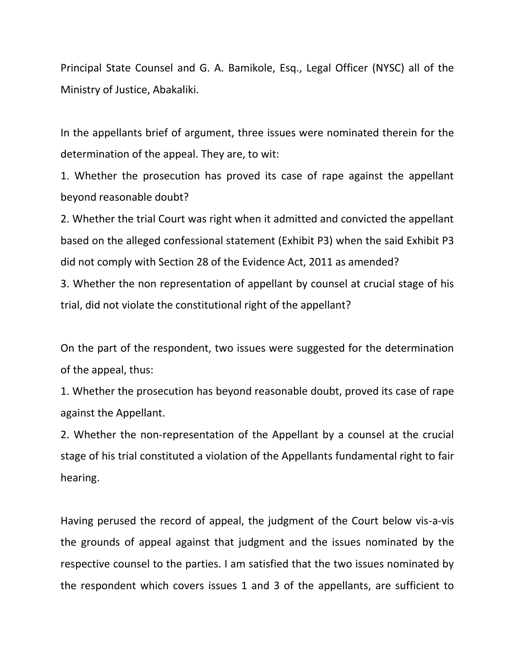Principal State Counsel and G. A. Bamikole, Esq., Legal Officer (NYSC) all of the Ministry of Justice, Abakaliki.

In the appellants brief of argument, three issues were nominated therein for the determination of the appeal. They are, to wit:

1. Whether the prosecution has proved its case of rape against the appellant beyond reasonable doubt?

2. Whether the trial Court was right when it admitted and convicted the appellant based on the alleged confessional statement (Exhibit P3) when the said Exhibit P3 did not comply with Section 28 of the Evidence Act, 2011 as amended?

3. Whether the non representation of appellant by counsel at crucial stage of his trial, did not violate the constitutional right of the appellant?

On the part of the respondent, two issues were suggested for the determination of the appeal, thus:

1. Whether the prosecution has beyond reasonable doubt, proved its case of rape against the Appellant.

2. Whether the non-representation of the Appellant by a counsel at the crucial stage of his trial constituted a violation of the Appellants fundamental right to fair hearing.

Having perused the record of appeal, the judgment of the Court below vis-a-vis the grounds of appeal against that judgment and the issues nominated by the respective counsel to the parties. I am satisfied that the two issues nominated by the respondent which covers issues 1 and 3 of the appellants, are sufficient to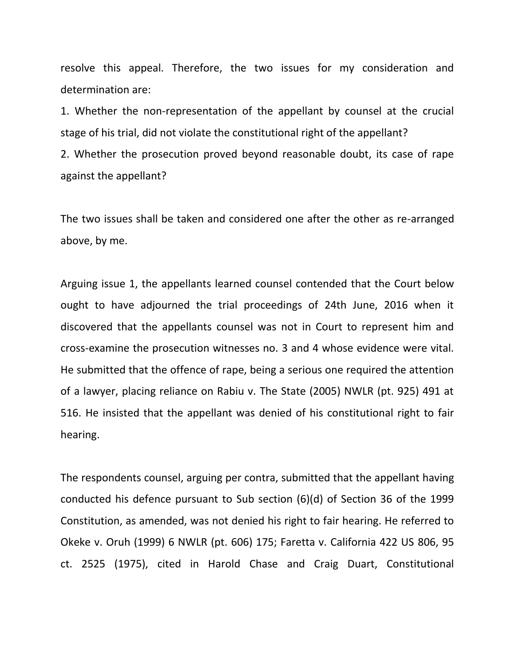resolve this appeal. Therefore, the two issues for my consideration and determination are:

1. Whether the non-representation of the appellant by counsel at the crucial stage of his trial, did not violate the constitutional right of the appellant?

2. Whether the prosecution proved beyond reasonable doubt, its case of rape against the appellant?

The two issues shall be taken and considered one after the other as re-arranged above, by me.

Arguing issue 1, the appellants learned counsel contended that the Court below ought to have adjourned the trial proceedings of 24th June, 2016 when it discovered that the appellants counsel was not in Court to represent him and cross-examine the prosecution witnesses no. 3 and 4 whose evidence were vital. He submitted that the offence of rape, being a serious one required the attention of a lawyer, placing reliance on Rabiu v. The State (2005) NWLR (pt. 925) 491 at 516. He insisted that the appellant was denied of his constitutional right to fair hearing.

The respondents counsel, arguing per contra, submitted that the appellant having conducted his defence pursuant to Sub section (6)(d) of Section 36 of the 1999 Constitution, as amended, was not denied his right to fair hearing. He referred to Okeke v. Oruh (1999) 6 NWLR (pt. 606) 175; Faretta v. California 422 US 806, 95 ct. 2525 (1975), cited in Harold Chase and Craig Duart, Constitutional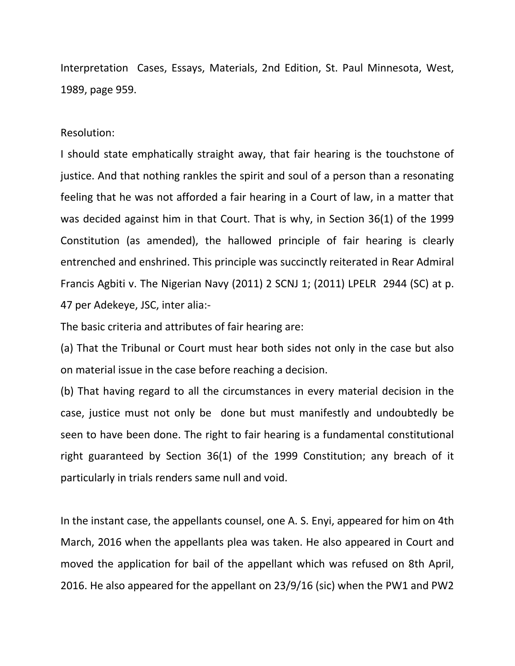Interpretation Cases, Essays, Materials, 2nd Edition, St. Paul Minnesota, West, 1989, page 959.

Resolution:

I should state emphatically straight away, that fair hearing is the touchstone of justice. And that nothing rankles the spirit and soul of a person than a resonating feeling that he was not afforded a fair hearing in a Court of law, in a matter that was decided against him in that Court. That is why, in Section 36(1) of the 1999 Constitution (as amended), the hallowed principle of fair hearing is clearly entrenched and enshrined. This principle was succinctly reiterated in Rear Admiral Francis Agbiti v. The Nigerian Navy (2011) 2 SCNJ 1; (2011) LPELR 2944 (SC) at p. 47 per Adekeye, JSC, inter alia:-

The basic criteria and attributes of fair hearing are:

(a) That the Tribunal or Court must hear both sides not only in the case but also on material issue in the case before reaching a decision.

(b) That having regard to all the circumstances in every material decision in the case, justice must not only be done but must manifestly and undoubtedly be seen to have been done. The right to fair hearing is a fundamental constitutional right guaranteed by Section 36(1) of the 1999 Constitution; any breach of it particularly in trials renders same null and void.

In the instant case, the appellants counsel, one A. S. Enyi, appeared for him on 4th March, 2016 when the appellants plea was taken. He also appeared in Court and moved the application for bail of the appellant which was refused on 8th April, 2016. He also appeared for the appellant on 23/9/16 (sic) when the PW1 and PW2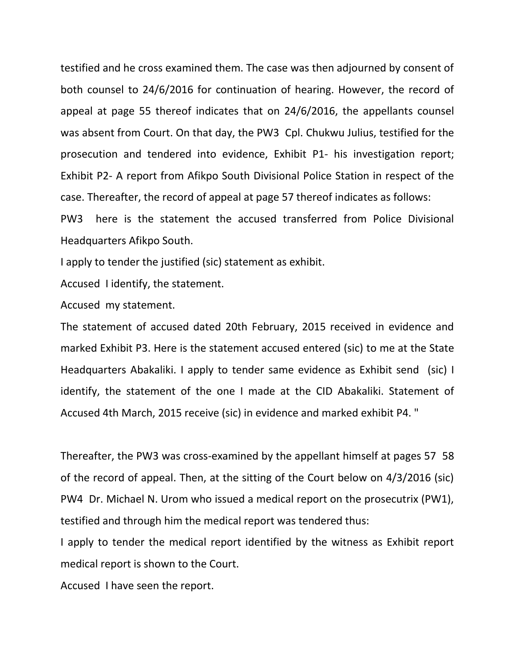testified and he cross examined them. The case was then adjourned by consent of both counsel to 24/6/2016 for continuation of hearing. However, the record of appeal at page 55 thereof indicates that on 24/6/2016, the appellants counsel was absent from Court. On that day, the PW3 Cpl. Chukwu Julius, testified for the prosecution and tendered into evidence, Exhibit P1- his investigation report; Exhibit P2- A report from Afikpo South Divisional Police Station in respect of the case. Thereafter, the record of appeal at page 57 thereof indicates as follows:

PW3 here is the statement the accused transferred from Police Divisional Headquarters Afikpo South.

I apply to tender the justified (sic) statement as exhibit.

Accused I identify, the statement.

Accused my statement.

The statement of accused dated 20th February, 2015 received in evidence and marked Exhibit P3. Here is the statement accused entered (sic) to me at the State Headquarters Abakaliki. I apply to tender same evidence as Exhibit send (sic) I identify, the statement of the one I made at the CID Abakaliki. Statement of Accused 4th March, 2015 receive (sic) in evidence and marked exhibit P4. "

Thereafter, the PW3 was cross-examined by the appellant himself at pages 57 58 of the record of appeal. Then, at the sitting of the Court below on 4/3/2016 (sic) PW4 Dr. Michael N. Urom who issued a medical report on the prosecutrix (PW1), testified and through him the medical report was tendered thus:

I apply to tender the medical report identified by the witness as Exhibit report medical report is shown to the Court.

Accused I have seen the report.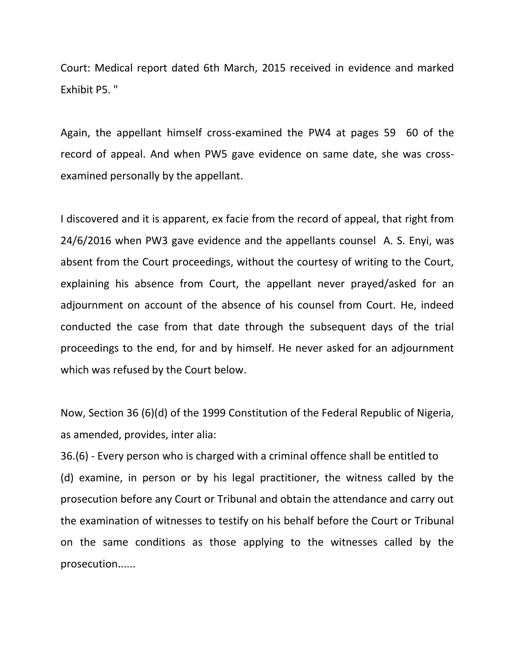Court: Medical report dated 6th March, 2015 received in evidence and marked Exhibit P5. "

Again, the appellant himself cross-examined the PW4 at pages 59 60 of the record of appeal. And when PW5 gave evidence on same date, she was crossexamined personally by the appellant.

I discovered and it is apparent, ex facie from the record of appeal, that right from 24/6/2016 when PW3 gave evidence and the appellants counsel A. S. Enyi, was absent from the Court proceedings, without the courtesy of writing to the Court, explaining his absence from Court, the appellant never prayed/asked for an adjournment on account of the absence of his counsel from Court. He, indeed conducted the case from that date through the subsequent days of the trial proceedings to the end, for and by himself. He never asked for an adjournment which was refused by the Court below.

Now, Section 36 (6)(d) of the 1999 Constitution of the Federal Republic of Nigeria, as amended, provides, inter alia:

36.(6) - Every person who is charged with a criminal offence shall be entitled to (d) examine, in person or by his legal practitioner, the witness called by the prosecution before any Court or Tribunal and obtain the attendance and carry out the examination of witnesses to testify on his behalf before the Court or Tribunal on the same conditions as those applying to the witnesses called by the prosecution......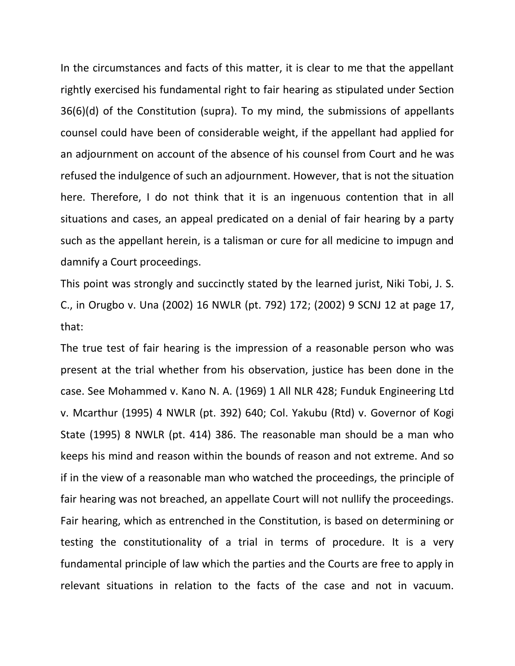In the circumstances and facts of this matter, it is clear to me that the appellant rightly exercised his fundamental right to fair hearing as stipulated under Section 36(6)(d) of the Constitution (supra). To my mind, the submissions of appellants counsel could have been of considerable weight, if the appellant had applied for an adjournment on account of the absence of his counsel from Court and he was refused the indulgence of such an adjournment. However, that is not the situation here. Therefore, I do not think that it is an ingenuous contention that in all situations and cases, an appeal predicated on a denial of fair hearing by a party such as the appellant herein, is a talisman or cure for all medicine to impugn and damnify a Court proceedings.

This point was strongly and succinctly stated by the learned jurist, Niki Tobi, J. S. C., in Orugbo v. Una (2002) 16 NWLR (pt. 792) 172; (2002) 9 SCNJ 12 at page 17, that:

The true test of fair hearing is the impression of a reasonable person who was present at the trial whether from his observation, justice has been done in the case. See Mohammed v. Kano N. A. (1969) 1 All NLR 428; Funduk Engineering Ltd v. Mcarthur (1995) 4 NWLR (pt. 392) 640; Col. Yakubu (Rtd) v. Governor of Kogi State (1995) 8 NWLR (pt. 414) 386. The reasonable man should be a man who keeps his mind and reason within the bounds of reason and not extreme. And so if in the view of a reasonable man who watched the proceedings, the principle of fair hearing was not breached, an appellate Court will not nullify the proceedings. Fair hearing, which as entrenched in the Constitution, is based on determining or testing the constitutionality of a trial in terms of procedure. It is a very fundamental principle of law which the parties and the Courts are free to apply in relevant situations in relation to the facts of the case and not in vacuum.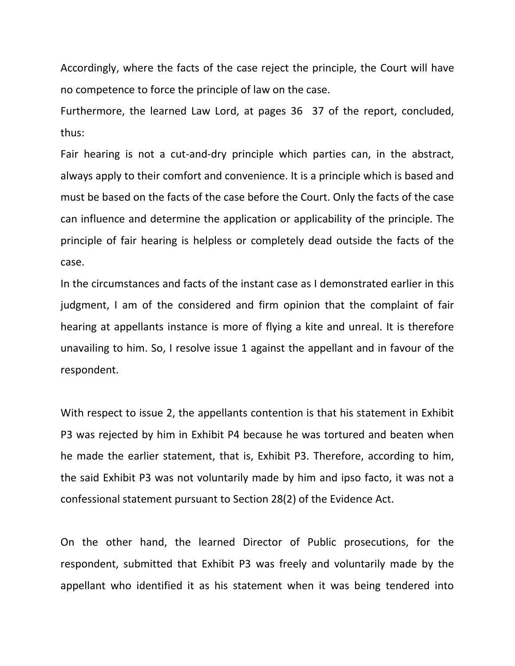Accordingly, where the facts of the case reject the principle, the Court will have no competence to force the principle of law on the case.

Furthermore, the learned Law Lord, at pages 36 37 of the report, concluded, thus:

Fair hearing is not a cut-and-dry principle which parties can, in the abstract, always apply to their comfort and convenience. It is a principle which is based and must be based on the facts of the case before the Court. Only the facts of the case can influence and determine the application or applicability of the principle. The principle of fair hearing is helpless or completely dead outside the facts of the case.

In the circumstances and facts of the instant case as I demonstrated earlier in this judgment, I am of the considered and firm opinion that the complaint of fair hearing at appellants instance is more of flying a kite and unreal. It is therefore unavailing to him. So, I resolve issue 1 against the appellant and in favour of the respondent.

With respect to issue 2, the appellants contention is that his statement in Exhibit P3 was rejected by him in Exhibit P4 because he was tortured and beaten when he made the earlier statement, that is, Exhibit P3. Therefore, according to him, the said Exhibit P3 was not voluntarily made by him and ipso facto, it was not a confessional statement pursuant to Section 28(2) of the Evidence Act.

On the other hand, the learned Director of Public prosecutions, for the respondent, submitted that Exhibit P3 was freely and voluntarily made by the appellant who identified it as his statement when it was being tendered into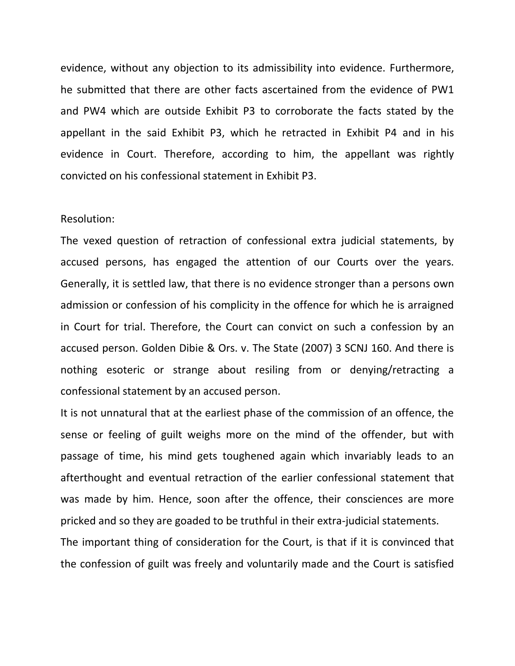evidence, without any objection to its admissibility into evidence. Furthermore, he submitted that there are other facts ascertained from the evidence of PW1 and PW4 which are outside Exhibit P3 to corroborate the facts stated by the appellant in the said Exhibit P3, which he retracted in Exhibit P4 and in his evidence in Court. Therefore, according to him, the appellant was rightly convicted on his confessional statement in Exhibit P3.

#### Resolution:

The vexed question of retraction of confessional extra judicial statements, by accused persons, has engaged the attention of our Courts over the years. Generally, it is settled law, that there is no evidence stronger than a persons own admission or confession of his complicity in the offence for which he is arraigned in Court for trial. Therefore, the Court can convict on such a confession by an accused person. Golden Dibie & Ors. v. The State (2007) 3 SCNJ 160. And there is nothing esoteric or strange about resiling from or denying/retracting a confessional statement by an accused person.

It is not unnatural that at the earliest phase of the commission of an offence, the sense or feeling of guilt weighs more on the mind of the offender, but with passage of time, his mind gets toughened again which invariably leads to an afterthought and eventual retraction of the earlier confessional statement that was made by him. Hence, soon after the offence, their consciences are more pricked and so they are goaded to be truthful in their extra-judicial statements.

The important thing of consideration for the Court, is that if it is convinced that the confession of guilt was freely and voluntarily made and the Court is satisfied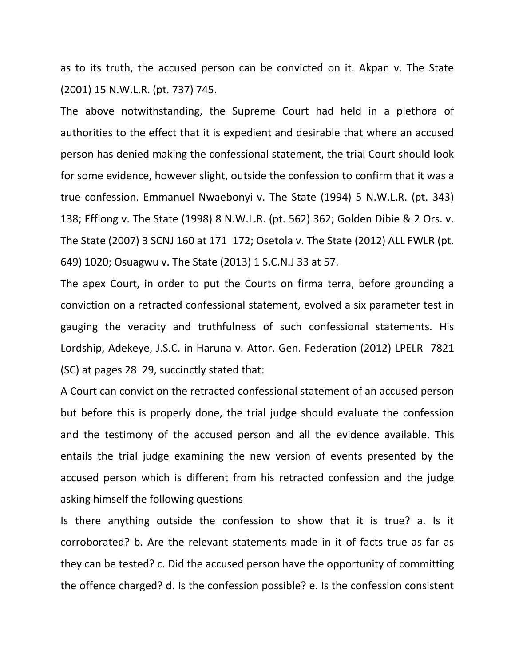as to its truth, the accused person can be convicted on it. Akpan v. The State (2001) 15 N.W.L.R. (pt. 737) 745.

The above notwithstanding, the Supreme Court had held in a plethora of authorities to the effect that it is expedient and desirable that where an accused person has denied making the confessional statement, the trial Court should look for some evidence, however slight, outside the confession to confirm that it was a true confession. Emmanuel Nwaebonyi v. The State (1994) 5 N.W.L.R. (pt. 343) 138; Effiong v. The State (1998) 8 N.W.L.R. (pt. 562) 362; Golden Dibie & 2 Ors. v. The State (2007) 3 SCNJ 160 at 171 172; Osetola v. The State (2012) ALL FWLR (pt. 649) 1020; Osuagwu v. The State (2013) 1 S.C.N.J 33 at 57.

The apex Court, in order to put the Courts on firma terra, before grounding a conviction on a retracted confessional statement, evolved a six parameter test in gauging the veracity and truthfulness of such confessional statements. His Lordship, Adekeye, J.S.C. in Haruna v. Attor. Gen. Federation (2012) LPELR 7821 (SC) at pages 28 29, succinctly stated that:

A Court can convict on the retracted confessional statement of an accused person but before this is properly done, the trial judge should evaluate the confession and the testimony of the accused person and all the evidence available. This entails the trial judge examining the new version of events presented by the accused person which is different from his retracted confession and the judge asking himself the following questions

Is there anything outside the confession to show that it is true? a. Is it corroborated? b. Are the relevant statements made in it of facts true as far as they can be tested? c. Did the accused person have the opportunity of committing the offence charged? d. Is the confession possible? e. Is the confession consistent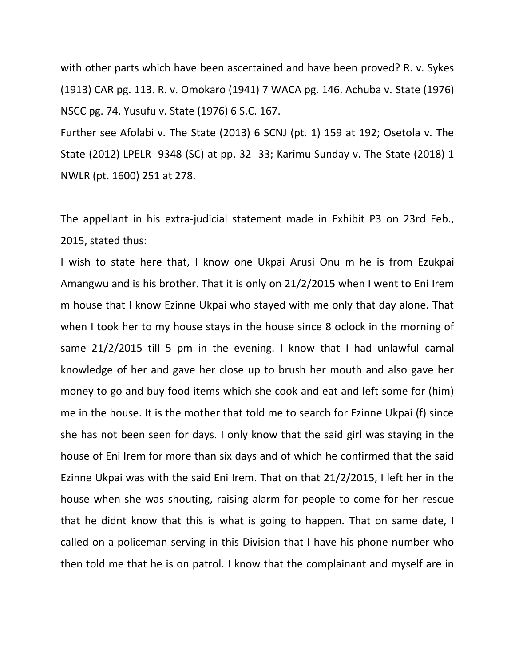with other parts which have been ascertained and have been proved? R. v. Sykes (1913) CAR pg. 113. R. v. Omokaro (1941) 7 WACA pg. 146. Achuba v. State (1976) NSCC pg. 74. Yusufu v. State (1976) 6 S.C. 167.

Further see Afolabi v. The State (2013) 6 SCNJ (pt. 1) 159 at 192; Osetola v. The State (2012) LPELR 9348 (SC) at pp. 32 33; Karimu Sunday v. The State (2018) 1 NWLR (pt. 1600) 251 at 278.

The appellant in his extra-judicial statement made in Exhibit P3 on 23rd Feb., 2015, stated thus:

I wish to state here that, I know one Ukpai Arusi Onu m he is from Ezukpai Amangwu and is his brother. That it is only on 21/2/2015 when I went to Eni Irem m house that I know Ezinne Ukpai who stayed with me only that day alone. That when I took her to my house stays in the house since 8 oclock in the morning of same 21/2/2015 till 5 pm in the evening. I know that I had unlawful carnal knowledge of her and gave her close up to brush her mouth and also gave her money to go and buy food items which she cook and eat and left some for (him) me in the house. It is the mother that told me to search for Ezinne Ukpai (f) since she has not been seen for days. I only know that the said girl was staying in the house of Eni Irem for more than six days and of which he confirmed that the said Ezinne Ukpai was with the said Eni Irem. That on that 21/2/2015, I left her in the house when she was shouting, raising alarm for people to come for her rescue that he didnt know that this is what is going to happen. That on same date, I called on a policeman serving in this Division that I have his phone number who then told me that he is on patrol. I know that the complainant and myself are in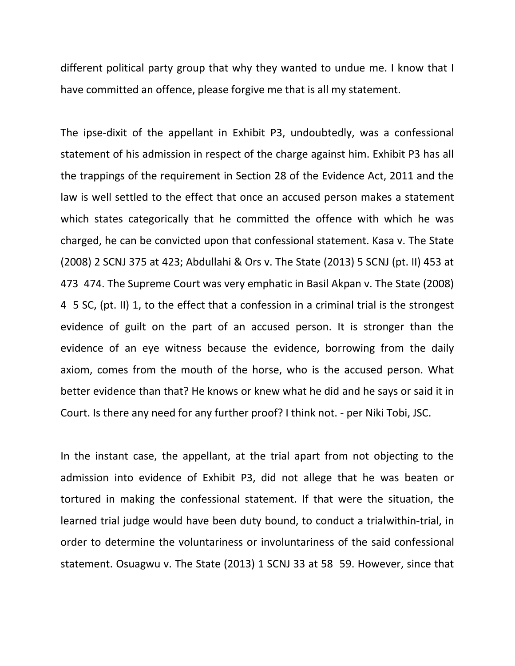different political party group that why they wanted to undue me. I know that I have committed an offence, please forgive me that is all my statement.

The ipse-dixit of the appellant in Exhibit P3, undoubtedly, was a confessional statement of his admission in respect of the charge against him. Exhibit P3 has all the trappings of the requirement in Section 28 of the Evidence Act, 2011 and the law is well settled to the effect that once an accused person makes a statement which states categorically that he committed the offence with which he was charged, he can be convicted upon that confessional statement. Kasa v. The State (2008) 2 SCNJ 375 at 423; Abdullahi & Ors v. The State (2013) 5 SCNJ (pt. II) 453 at 473 474. The Supreme Court was very emphatic in Basil Akpan v. The State (2008) 4 5 SC, (pt. II) 1, to the effect that a confession in a criminal trial is the strongest evidence of guilt on the part of an accused person. It is stronger than the evidence of an eye witness because the evidence, borrowing from the daily axiom, comes from the mouth of the horse, who is the accused person. What better evidence than that? He knows or knew what he did and he says or said it in Court. Is there any need for any further proof? I think not. - per Niki Tobi, JSC.

In the instant case, the appellant, at the trial apart from not objecting to the admission into evidence of Exhibit P3, did not allege that he was beaten or tortured in making the confessional statement. If that were the situation, the learned trial judge would have been duty bound, to conduct a trialwithin-trial, in order to determine the voluntariness or involuntariness of the said confessional statement. Osuagwu v. The State (2013) 1 SCNJ 33 at 58 59. However, since that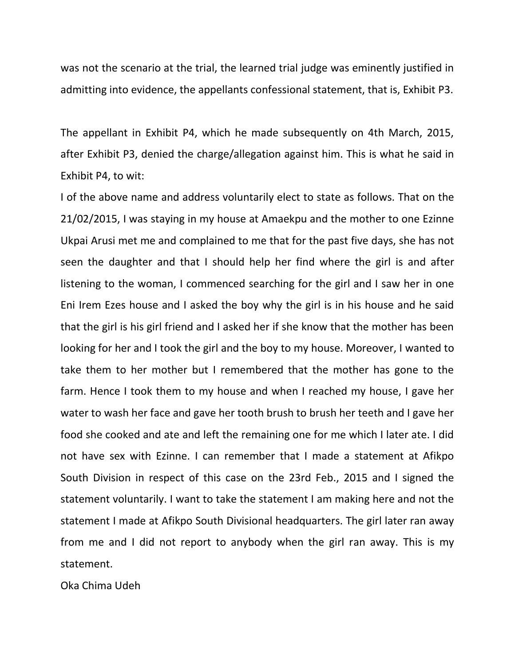was not the scenario at the trial, the learned trial judge was eminently justified in admitting into evidence, the appellants confessional statement, that is, Exhibit P3.

The appellant in Exhibit P4, which he made subsequently on 4th March, 2015, after Exhibit P3, denied the charge/allegation against him. This is what he said in Exhibit P4, to wit:

I of the above name and address voluntarily elect to state as follows. That on the 21/02/2015, I was staying in my house at Amaekpu and the mother to one Ezinne Ukpai Arusi met me and complained to me that for the past five days, she has not seen the daughter and that I should help her find where the girl is and after listening to the woman, I commenced searching for the girl and I saw her in one Eni Irem Ezes house and I asked the boy why the girl is in his house and he said that the girl is his girl friend and I asked her if she know that the mother has been looking for her and I took the girl and the boy to my house. Moreover, I wanted to take them to her mother but I remembered that the mother has gone to the farm. Hence I took them to my house and when I reached my house, I gave her water to wash her face and gave her tooth brush to brush her teeth and I gave her food she cooked and ate and left the remaining one for me which I later ate. I did not have sex with Ezinne. I can remember that I made a statement at Afikpo South Division in respect of this case on the 23rd Feb., 2015 and I signed the statement voluntarily. I want to take the statement I am making here and not the statement I made at Afikpo South Divisional headquarters. The girl later ran away from me and I did not report to anybody when the girl ran away. This is my statement.

Oka Chima Udeh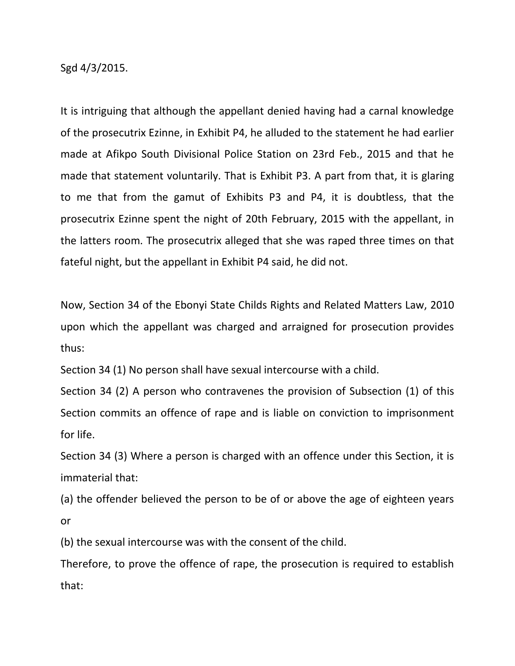Sgd 4/3/2015.

It is intriguing that although the appellant denied having had a carnal knowledge of the prosecutrix Ezinne, in Exhibit P4, he alluded to the statement he had earlier made at Afikpo South Divisional Police Station on 23rd Feb., 2015 and that he made that statement voluntarily. That is Exhibit P3. A part from that, it is glaring to me that from the gamut of Exhibits P3 and P4, it is doubtless, that the prosecutrix Ezinne spent the night of 20th February, 2015 with the appellant, in the latters room. The prosecutrix alleged that she was raped three times on that fateful night, but the appellant in Exhibit P4 said, he did not.

Now, Section 34 of the Ebonyi State Childs Rights and Related Matters Law, 2010 upon which the appellant was charged and arraigned for prosecution provides thus:

Section 34 (1) No person shall have sexual intercourse with a child.

Section 34 (2) A person who contravenes the provision of Subsection (1) of this Section commits an offence of rape and is liable on conviction to imprisonment for life.

Section 34 (3) Where a person is charged with an offence under this Section, it is immaterial that:

(a) the offender believed the person to be of or above the age of eighteen years or

(b) the sexual intercourse was with the consent of the child.

Therefore, to prove the offence of rape, the prosecution is required to establish that: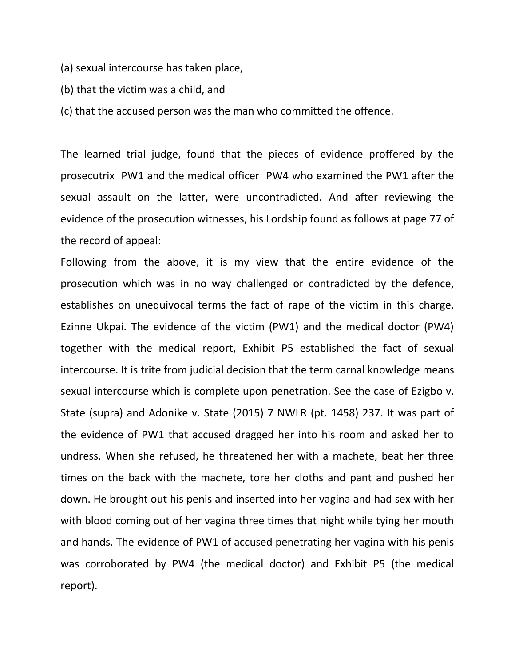- (a) sexual intercourse has taken place,
- (b) that the victim was a child, and
- (c) that the accused person was the man who committed the offence.

The learned trial judge, found that the pieces of evidence proffered by the prosecutrix PW1 and the medical officer PW4 who examined the PW1 after the sexual assault on the latter, were uncontradicted. And after reviewing the evidence of the prosecution witnesses, his Lordship found as follows at page 77 of the record of appeal:

Following from the above, it is my view that the entire evidence of the prosecution which was in no way challenged or contradicted by the defence, establishes on unequivocal terms the fact of rape of the victim in this charge, Ezinne Ukpai. The evidence of the victim (PW1) and the medical doctor (PW4) together with the medical report, Exhibit P5 established the fact of sexual intercourse. It is trite from judicial decision that the term carnal knowledge means sexual intercourse which is complete upon penetration. See the case of Ezigbo v. State (supra) and Adonike v. State (2015) 7 NWLR (pt. 1458) 237. It was part of the evidence of PW1 that accused dragged her into his room and asked her to undress. When she refused, he threatened her with a machete, beat her three times on the back with the machete, tore her cloths and pant and pushed her down. He brought out his penis and inserted into her vagina and had sex with her with blood coming out of her vagina three times that night while tying her mouth and hands. The evidence of PW1 of accused penetrating her vagina with his penis was corroborated by PW4 (the medical doctor) and Exhibit P5 (the medical report).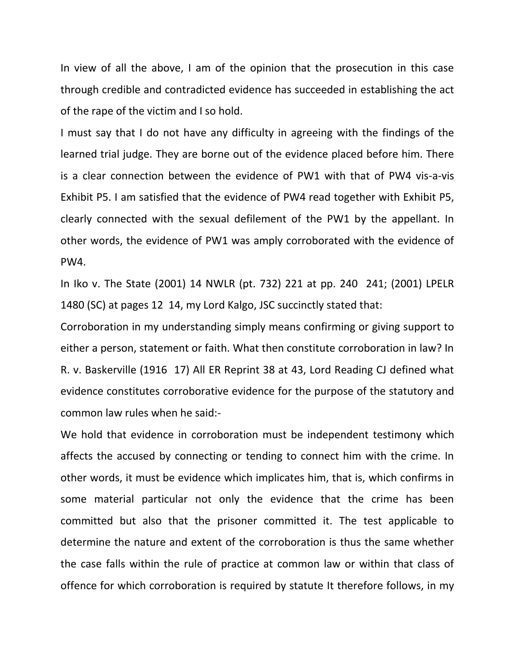In view of all the above, I am of the opinion that the prosecution in this case through credible and contradicted evidence has succeeded in establishing the act of the rape of the victim and I so hold.

I must say that I do not have any difficulty in agreeing with the findings of the learned trial judge. They are borne out of the evidence placed before him. There is a clear connection between the evidence of PW1 with that of PW4 vis-a-vis Exhibit P5. I am satisfied that the evidence of PW4 read together with Exhibit P5, clearly connected with the sexual defilement of the PW1 by the appellant. In other words, the evidence of PW1 was amply corroborated with the evidence of PW4.

In Iko v. The State (2001) 14 NWLR (pt. 732) 221 at pp. 240 241; (2001) LPELR 1480 (SC) at pages 12 14, my Lord Kalgo, JSC succinctly stated that:

Corroboration in my understanding simply means confirming or giving support to either a person, statement or faith. What then constitute corroboration in law? In R. v. Baskerville (1916 17) All ER Reprint 38 at 43, Lord Reading CJ defined what evidence constitutes corroborative evidence for the purpose of the statutory and common law rules when he said:-

We hold that evidence in corroboration must be independent testimony which affects the accused by connecting or tending to connect him with the crime. In other words, it must be evidence which implicates him, that is, which confirms in some material particular not only the evidence that the crime has been committed but also that the prisoner committed it. The test applicable to determine the nature and extent of the corroboration is thus the same whether the case falls within the rule of practice at common law or within that class of offence for which corroboration is required by statute It therefore follows, in my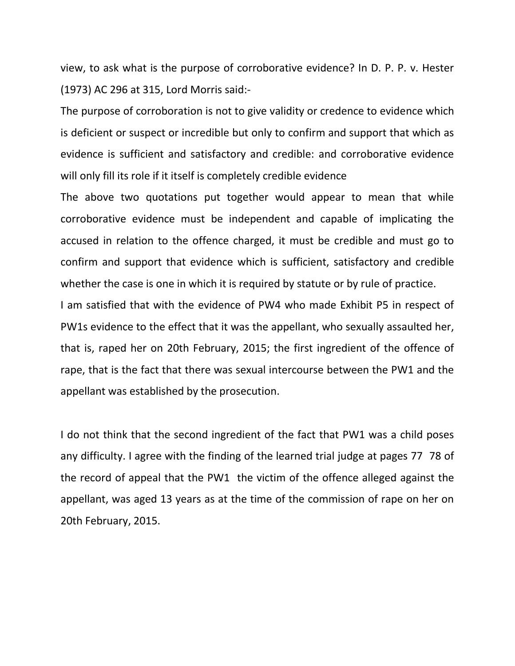view, to ask what is the purpose of corroborative evidence? In D. P. P. v. Hester (1973) AC 296 at 315, Lord Morris said:-

The purpose of corroboration is not to give validity or credence to evidence which is deficient or suspect or incredible but only to confirm and support that which as evidence is sufficient and satisfactory and credible: and corroborative evidence will only fill its role if it itself is completely credible evidence

The above two quotations put together would appear to mean that while corroborative evidence must be independent and capable of implicating the accused in relation to the offence charged, it must be credible and must go to confirm and support that evidence which is sufficient, satisfactory and credible whether the case is one in which it is required by statute or by rule of practice.

I am satisfied that with the evidence of PW4 who made Exhibit P5 in respect of PW1s evidence to the effect that it was the appellant, who sexually assaulted her, that is, raped her on 20th February, 2015; the first ingredient of the offence of rape, that is the fact that there was sexual intercourse between the PW1 and the appellant was established by the prosecution.

I do not think that the second ingredient of the fact that PW1 was a child poses any difficulty. I agree with the finding of the learned trial judge at pages 77 78 of the record of appeal that the PW1 the victim of the offence alleged against the appellant, was aged 13 years as at the time of the commission of rape on her on 20th February, 2015.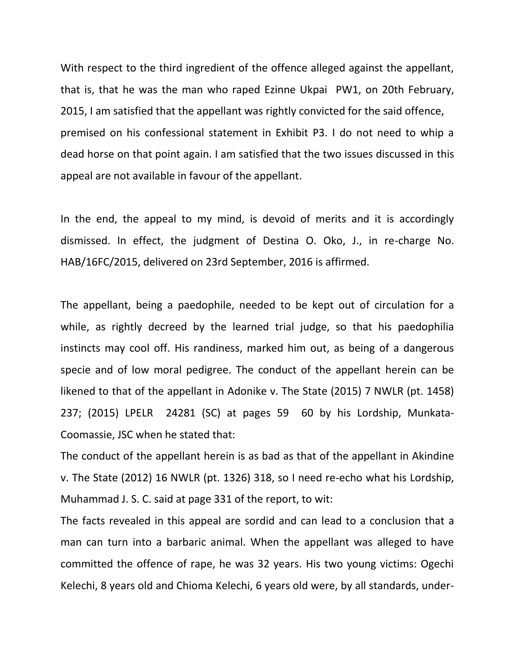With respect to the third ingredient of the offence alleged against the appellant, that is, that he was the man who raped Ezinne Ukpai PW1, on 20th February, 2015, I am satisfied that the appellant was rightly convicted for the said offence, premised on his confessional statement in Exhibit P3. I do not need to whip a dead horse on that point again. I am satisfied that the two issues discussed in this appeal are not available in favour of the appellant.

In the end, the appeal to my mind, is devoid of merits and it is accordingly dismissed. In effect, the judgment of Destina O. Oko, J., in re-charge No. HAB/16FC/2015, delivered on 23rd September, 2016 is affirmed.

The appellant, being a paedophile, needed to be kept out of circulation for a while, as rightly decreed by the learned trial judge, so that his paedophilia instincts may cool off. His randiness, marked him out, as being of a dangerous specie and of low moral pedigree. The conduct of the appellant herein can be likened to that of the appellant in Adonike v. The State (2015) 7 NWLR (pt. 1458) 237; (2015) LPELR 24281 (SC) at pages 59 60 by his Lordship, Munkata-Coomassie, JSC when he stated that:

The conduct of the appellant herein is as bad as that of the appellant in Akindine v. The State (2012) 16 NWLR (pt. 1326) 318, so I need re-echo what his Lordship, Muhammad J. S. C. said at page 331 of the report, to wit:

The facts revealed in this appeal are sordid and can lead to a conclusion that a man can turn into a barbaric animal. When the appellant was alleged to have committed the offence of rape, he was 32 years. His two young victims: Ogechi Kelechi, 8 years old and Chioma Kelechi, 6 years old were, by all standards, under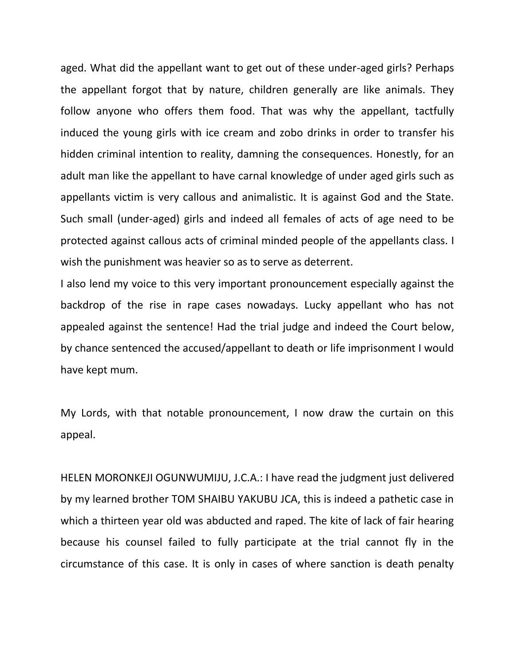aged. What did the appellant want to get out of these under-aged girls? Perhaps the appellant forgot that by nature, children generally are like animals. They follow anyone who offers them food. That was why the appellant, tactfully induced the young girls with ice cream and zobo drinks in order to transfer his hidden criminal intention to reality, damning the consequences. Honestly, for an adult man like the appellant to have carnal knowledge of under aged girls such as appellants victim is very callous and animalistic. It is against God and the State. Such small (under-aged) girls and indeed all females of acts of age need to be protected against callous acts of criminal minded people of the appellants class. I wish the punishment was heavier so as to serve as deterrent.

I also lend my voice to this very important pronouncement especially against the backdrop of the rise in rape cases nowadays. Lucky appellant who has not appealed against the sentence! Had the trial judge and indeed the Court below, by chance sentenced the accused/appellant to death or life imprisonment I would have kept mum.

My Lords, with that notable pronouncement, I now draw the curtain on this appeal.

HELEN MORONKEJI OGUNWUMIJU, J.C.A.: I have read the judgment just delivered by my learned brother TOM SHAIBU YAKUBU JCA, this is indeed a pathetic case in which a thirteen year old was abducted and raped. The kite of lack of fair hearing because his counsel failed to fully participate at the trial cannot fly in the circumstance of this case. It is only in cases of where sanction is death penalty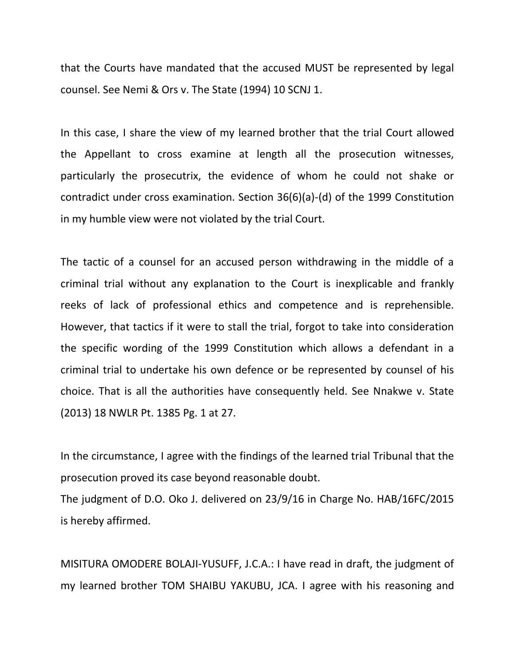that the Courts have mandated that the accused MUST be represented by legal counsel. See Nemi & Ors v. The State (1994) 10 SCNJ 1.

In this case, I share the view of my learned brother that the trial Court allowed the Appellant to cross examine at length all the prosecution witnesses, particularly the prosecutrix, the evidence of whom he could not shake or contradict under cross examination. Section 36(6)(a)-(d) of the 1999 Constitution in my humble view were not violated by the trial Court.

The tactic of a counsel for an accused person withdrawing in the middle of a criminal trial without any explanation to the Court is inexplicable and frankly reeks of lack of professional ethics and competence and is reprehensible. However, that tactics if it were to stall the trial, forgot to take into consideration the specific wording of the 1999 Constitution which allows a defendant in a criminal trial to undertake his own defence or be represented by counsel of his choice. That is all the authorities have consequently held. See Nnakwe v. State (2013) 18 NWLR Pt. 1385 Pg. 1 at 27.

In the circumstance, I agree with the findings of the learned trial Tribunal that the prosecution proved its case beyond reasonable doubt.

The judgment of D.O. Oko J. delivered on 23/9/16 in Charge No. HAB/16FC/2015 is hereby affirmed.

MISITURA OMODERE BOLAJI-YUSUFF, J.C.A.: I have read in draft, the judgment of my learned brother TOM SHAIBU YAKUBU, JCA. I agree with his reasoning and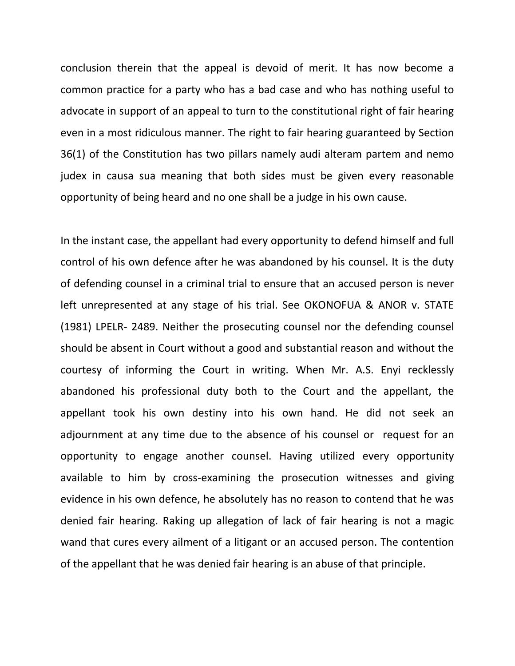conclusion therein that the appeal is devoid of merit. It has now become a common practice for a party who has a bad case and who has nothing useful to advocate in support of an appeal to turn to the constitutional right of fair hearing even in a most ridiculous manner. The right to fair hearing guaranteed by Section 36(1) of the Constitution has two pillars namely audi alteram partem and nemo judex in causa sua meaning that both sides must be given every reasonable opportunity of being heard and no one shall be a judge in his own cause.

In the instant case, the appellant had every opportunity to defend himself and full control of his own defence after he was abandoned by his counsel. It is the duty of defending counsel in a criminal trial to ensure that an accused person is never left unrepresented at any stage of his trial. See OKONOFUA & ANOR v. STATE (1981) LPELR- 2489. Neither the prosecuting counsel nor the defending counsel should be absent in Court without a good and substantial reason and without the courtesy of informing the Court in writing. When Mr. A.S. Enyi recklessly abandoned his professional duty both to the Court and the appellant, the appellant took his own destiny into his own hand. He did not seek an adjournment at any time due to the absence of his counsel or request for an opportunity to engage another counsel. Having utilized every opportunity available to him by cross-examining the prosecution witnesses and giving evidence in his own defence, he absolutely has no reason to contend that he was denied fair hearing. Raking up allegation of lack of fair hearing is not a magic wand that cures every ailment of a litigant or an accused person. The contention of the appellant that he was denied fair hearing is an abuse of that principle.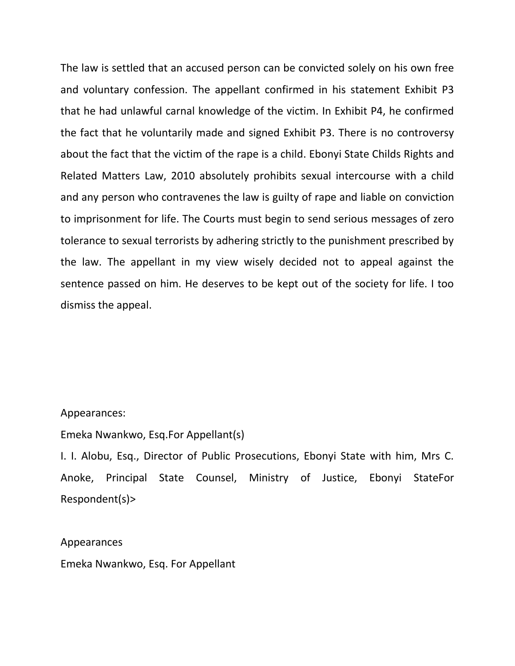The law is settled that an accused person can be convicted solely on his own free and voluntary confession. The appellant confirmed in his statement Exhibit P3 that he had unlawful carnal knowledge of the victim. In Exhibit P4, he confirmed the fact that he voluntarily made and signed Exhibit P3. There is no controversy about the fact that the victim of the rape is a child. Ebonyi State Childs Rights and Related Matters Law, 2010 absolutely prohibits sexual intercourse with a child and any person who contravenes the law is guilty of rape and liable on conviction to imprisonment for life. The Courts must begin to send serious messages of zero tolerance to sexual terrorists by adhering strictly to the punishment prescribed by the law. The appellant in my view wisely decided not to appeal against the sentence passed on him. He deserves to be kept out of the society for life. I too dismiss the appeal.

#### Appearances:

Emeka Nwankwo, Esq.For Appellant(s)

I. I. Alobu, Esq., Director of Public Prosecutions, Ebonyi State with him, Mrs C. Anoke, Principal State Counsel, Ministry of Justice, Ebonyi StateFor Respondent(s)>

#### Appearances

Emeka Nwankwo, Esq. For Appellant